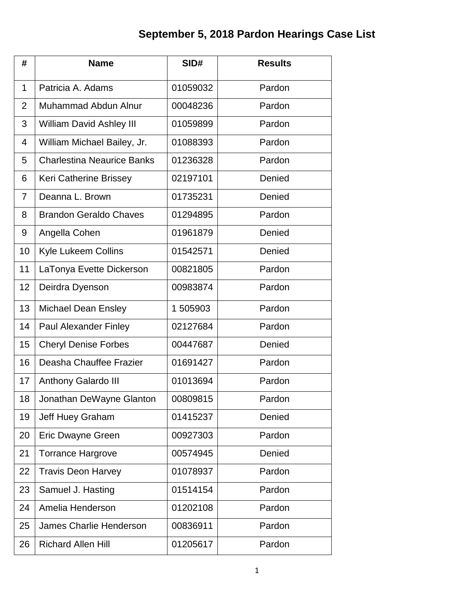## **September 5, 2018 Pardon Hearings Case List**

| #              | <b>Name</b>                       | SID#     | <b>Results</b> |
|----------------|-----------------------------------|----------|----------------|
| 1              | Patricia A. Adams                 | 01059032 | Pardon         |
| $\overline{2}$ | Muhammad Abdun Alnur              | 00048236 | Pardon         |
| 3              | William David Ashley III          | 01059899 | Pardon         |
| 4              | William Michael Bailey, Jr.       | 01088393 | Pardon         |
| 5              | <b>Charlestina Neaurice Banks</b> | 01236328 | Pardon         |
| 6              | Keri Catherine Brissey            | 02197101 | Denied         |
| 7              | Deanna L. Brown                   | 01735231 | Denied         |
| 8              | <b>Brandon Geraldo Chaves</b>     | 01294895 | Pardon         |
| 9              | Angella Cohen                     | 01961879 | Denied         |
| 10             | <b>Kyle Lukeem Collins</b>        | 01542571 | Denied         |
| 11             | LaTonya Evette Dickerson          | 00821805 | Pardon         |
| 12             | Deirdra Dyenson                   | 00983874 | Pardon         |
| 13             | <b>Michael Dean Ensley</b>        | 1 505903 | Pardon         |
| 14             | <b>Paul Alexander Finley</b>      | 02127684 | Pardon         |
| 15             | <b>Cheryl Denise Forbes</b>       | 00447687 | Denied         |
| 16             | Deasha Chauffee Frazier           | 01691427 | Pardon         |
| 17             | Anthony Galardo III               | 01013694 | Pardon         |
| 18             | Jonathan DeWayne Glanton          | 00809815 | Pardon         |
| 19             | Jeff Huey Graham                  | 01415237 | Denied         |
| 20             | Eric Dwayne Green                 | 00927303 | Pardon         |
| 21             | <b>Torrance Hargrove</b>          | 00574945 | Denied         |
| 22             | <b>Travis Deon Harvey</b>         | 01078937 | Pardon         |
| 23             | Samuel J. Hasting                 | 01514154 | Pardon         |
| 24             | Amelia Henderson                  | 01202108 | Pardon         |
| 25             | <b>James Charlie Henderson</b>    | 00836911 | Pardon         |
| 26             | <b>Richard Allen Hill</b>         | 01205617 | Pardon         |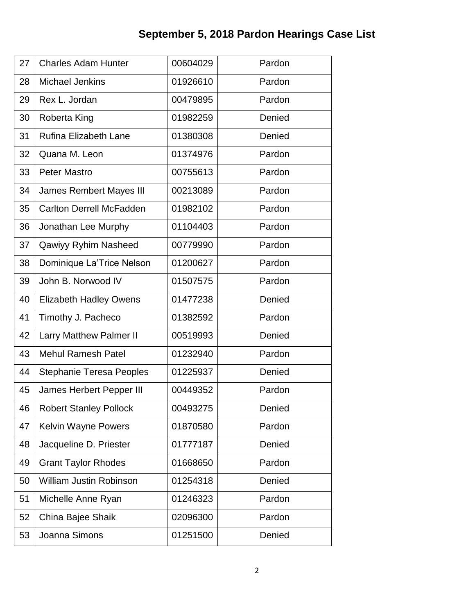## **September 5, 2018 Pardon Hearings Case List**

| 27 | <b>Charles Adam Hunter</b>      | 00604029 | Pardon |
|----|---------------------------------|----------|--------|
| 28 | <b>Michael Jenkins</b>          | 01926610 | Pardon |
| 29 | Rex L. Jordan                   | 00479895 | Pardon |
| 30 | Roberta King                    | 01982259 | Denied |
| 31 | <b>Rufina Elizabeth Lane</b>    | 01380308 | Denied |
| 32 | Quana M. Leon                   | 01374976 | Pardon |
| 33 | <b>Peter Mastro</b>             | 00755613 | Pardon |
| 34 | <b>James Rembert Mayes III</b>  | 00213089 | Pardon |
| 35 | <b>Carlton Derrell McFadden</b> | 01982102 | Pardon |
| 36 | Jonathan Lee Murphy             | 01104403 | Pardon |
| 37 | Qawiyy Ryhim Nasheed            | 00779990 | Pardon |
| 38 | Dominique La'Trice Nelson       | 01200627 | Pardon |
| 39 | John B. Norwood IV              | 01507575 | Pardon |
| 40 | <b>Elizabeth Hadley Owens</b>   | 01477238 | Denied |
| 41 | Timothy J. Pacheco              | 01382592 | Pardon |
| 42 | Larry Matthew Palmer II         | 00519993 | Denied |
| 43 | <b>Mehul Ramesh Patel</b>       | 01232940 | Pardon |
| 44 | <b>Stephanie Teresa Peoples</b> | 01225937 | Denied |
| 45 | James Herbert Pepper III        | 00449352 | Pardon |
| 46 | <b>Robert Stanley Pollock</b>   | 00493275 | Denied |
| 47 | Kelvin Wayne Powers             | 01870580 | Pardon |
| 48 | Jacqueline D. Priester          | 01777187 | Denied |
| 49 | <b>Grant Taylor Rhodes</b>      | 01668650 | Pardon |
| 50 | <b>William Justin Robinson</b>  | 01254318 | Denied |
| 51 | Michelle Anne Ryan              | 01246323 | Pardon |
| 52 | China Bajee Shaik               | 02096300 | Pardon |
| 53 | Joanna Simons                   | 01251500 | Denied |